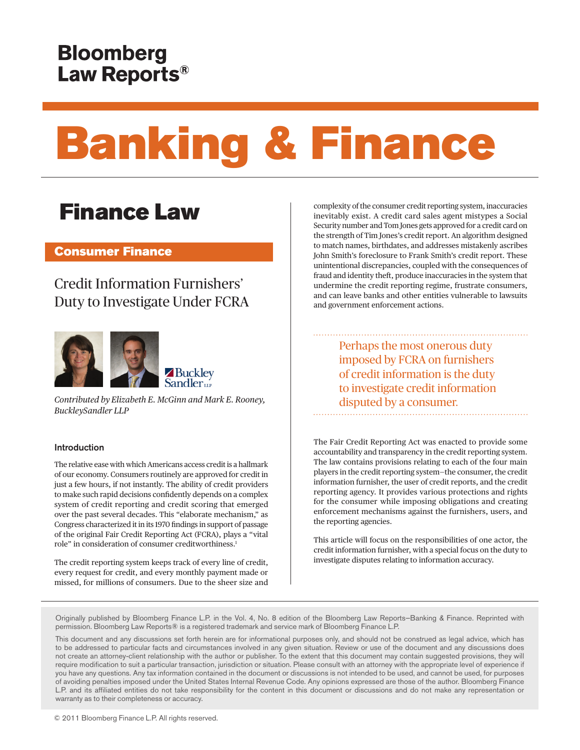# Banking & Finance

## Finance Law

#### Consumer Finance

### Credit Information Furnishers' Duty to Investigate Under FCRA



*Contributed by Elizabeth E. McGinn and Mark E. Rooney, BuckleySandler LLP*

#### Introduction

The relative ease with which Americans access credit is a hallmark of our economy. Consumers routinely are approved for credit in just a few hours, if not instantly. The ability of credit providers to make such rapid decisions confidently depends on a complex system of credit reporting and credit scoring that emerged over the past several decades. This "elaborate mechanism," as Congress characterized it in its 1970 findings in support of passage of the original Fair Credit Reporting Act (FCRA), plays a "vital role" in consideration of consumer creditworthiness.<sup>[1](#page-3-0)</sup>

<span id="page-0-0"></span>The credit reporting system keeps track of every line of credit, every request for credit, and every monthly payment made or missed, for millions of consumers. Due to the sheer size and complexity of the consumer credit reporting system, inaccuracies inevitably exist. A credit card sales agent mistypes a Social Security number and Tom Jones gets approved for a credit card on the strength of Tim Jones's credit report. An algorithm designed to match names, birthdates, and addresses mistakenly ascribes John Smith's foreclosure to Frank Smith's credit report. These unintentional discrepancies, coupled with the consequences of fraud and identity theft, produce inaccuracies in the system that undermine the credit reporting regime, frustrate consumers, and can leave banks and other entities vulnerable to lawsuits and government enforcement actions.

> Perhaps the most onerous duty imposed by FCRA on furnishers of credit information is the duty to investigate credit information disputed by a consumer.

The Fair Credit Reporting Act was enacted to provide some accountability and transparency in the credit reporting system. The law contains provisions relating to each of the four main players in the credit reporting system—the consumer, the credit information furnisher, the user of credit reports, and the credit reporting agency. It provides various protections and rights for the consumer while imposing obligations and creating enforcement mechanisms against the furnishers, users, and the reporting agencies.

This article will focus on the responsibilities of one actor, the credit information furnisher, with a special focus on the duty to investigate disputes relating to information accuracy.

Originally published by Bloomberg Finance L.P. in the Vol. 4, No. 8 edition of the Bloomberg Law Reports—Banking & Finance. Reprinted with permission. Bloomberg Law Reports® is a registered trademark and service mark of Bloomberg Finance L.P.

This document and any discussions set forth herein are for informational purposes only, and should not be construed as legal advice, which has to be addressed to particular facts and circumstances involved in any given situation. Review or use of the document and any discussions does not create an attorney‐client relationship with the author or publisher. To the extent that this document may contain suggested provisions, they will require modification to suit a particular transaction, jurisdiction or situation. Please consult with an attorney with the appropriate level of experience if you have any questions. Any tax information contained in the document or discussions is not intended to be used, and cannot be used, for purposes of avoiding penalties imposed under the United States Internal Revenue Code. Any opinions expressed are those of the author. Bloomberg Finance L.P. and its affiliated entities do not take responsibility for the content in this document or discussions and do not make any representation or warranty as to their completeness or accuracy.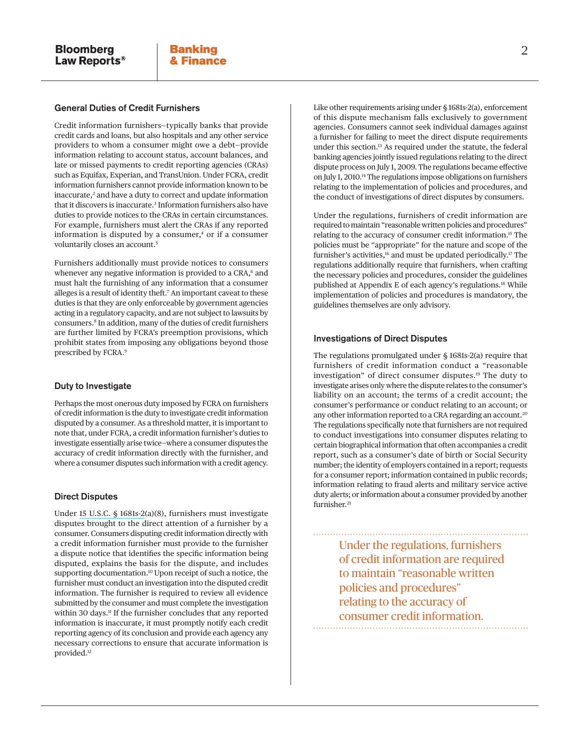#### General Duties of Credit Furnishers

<span id="page-1-0"></span>Credit information furnishers—typically banks that provide credit cards and loans, but also hospitals and any other service providers to whom a consumer might owe a debt—provide information relating to account status, account balances, and late or missed payments to credit reporting agencies (CRAs) such as Equifax, Experian, and TransUnion. Under FCRA, credit information furnishers cannot provide information known to be inaccurate,<sup>[2](#page-3-1)</sup> and have a duty to correct and update information that it discovers is inaccurate.[3](#page-3-2) Information furnishers also have duties to provide notices to the CRAs in certain circumstances. For example, furnishers must alert the CRAs if any reported information is disputed by a consumer, $4$  or if a consumer voluntarily closes an account.<sup>5</sup>

<span id="page-1-6"></span><span id="page-1-5"></span><span id="page-1-4"></span><span id="page-1-3"></span><span id="page-1-2"></span><span id="page-1-1"></span>Furnishers additionally must provide notices to consumers whenever any negative information is provided to a CRA,<sup>[6](#page-3-5)</sup> and must halt the furnishing of any information that a consumer alleges is a result of identity theft[.7](#page-3-6) An important caveat to these duties is that they are only enforceable by government agencies acting in a regulatory capacity, and are not subject to lawsuits by consumers[.8](#page-3-7) In addition, many of the duties of credit furnishers are further limited by FCRA's preemption provisions, which prohibit states from imposing any obligations beyond those prescribed by FCRA[.9](#page-3-8)

#### <span id="page-1-7"></span>Duty to Investigate

Perhaps the most onerous duty imposed by FCRA on furnishers of credit information is the duty to investigate credit information disputed by a consumer. As a threshold matter, it is important to note that, under FCRA, a credit information furnisher's duties to investigate essentially arise twice—where a consumer disputes the accuracy of credit information directly with the furnisher, and where a consumer disputes such information with a credit agency.

#### Direct Disputes

<span id="page-1-10"></span><span id="page-1-9"></span><span id="page-1-8"></span>Under [15 U.S.C. § 1681s-2\(](http://www.bloomberglaw.com/document/1?citation=15 usc 1681s-2&summary=yes#jcite)a)(8), furnishers must investigate disputes brought to the direct attention of a furnisher by a consumer. Consumers disputing credit information directly with a credit information furnisher must provide to the furnisher a dispute notice that identifies the specific information being disputed, explains the basis for the dispute, and includes supporting documentation.<sup>[10](#page-3-9)</sup> Upon receipt of such a notice, the furnisher must conduct an investigation into the disputed credit information. The furnisher is required to review all evidence submitted by the consumer and must complete the investigation within 30 days.<sup>11</sup> If the furnisher concludes that any reported information is inaccurate, it must promptly notify each credit reporting agency of its conclusion and provide each agency any necessary corrections to ensure that accurate information is provided[.12](#page-3-11)

<span id="page-1-11"></span>Like other requirements arising under § 1681s-2(a), enforcement of this dispute mechanism falls exclusively to government agencies. Consumers cannot seek individual damages against a furnisher for failing to meet the direct dispute requirements under this section[.13](#page-4-0) As required under the statute, the federal banking agencies jointly issued regulations relating to the direct dispute process on July 1, 2009. The regulations became effective on July 1, 2010[.14](#page-4-1) The regulations impose obligations on furnishers relating to the implementation of policies and procedures, and the conduct of investigations of direct disputes by consumers.

<span id="page-1-15"></span><span id="page-1-14"></span><span id="page-1-13"></span><span id="page-1-12"></span>Under the regulations, furnishers of credit information are required to maintain "reasonable written policies and procedures" relating to the accuracy of consumer credit information.[15](#page-4-2) The policies must be "appropriate" for the nature and scope of the furnisher's activities,<sup>16</sup> and must be updated periodically.<sup>17</sup> The regulations additionally require that furnishers, when crafting the necessary policies and procedures, consider the guidelines published at Appendix E of each agency's regulations[.18](#page-4-5) While implementation of policies and procedures is mandatory, the guidelines themselves are only advisory.

#### <span id="page-1-16"></span>Investigations of Direct Disputes

<span id="page-1-18"></span><span id="page-1-17"></span>The regulations promulgated under § 1681s-2(a) require that furnishers of credit information conduct a "reasonable investigation" of direct consumer disputes.[19](#page-4-6) The duty to investigate arises only where the dispute relates to the consumer's liability on an account; the terms of a credit account; the consumer's performance or conduct relating to an account; or any other information reported to a CRA regarding an account.[20](#page-4-7) The regulations specifically note that furnishers are not required to conduct investigations into consumer disputes relating to certain biographical information that often accompanies a credit report, such as a consumer's date of birth or Social Security number; the identity of employers contained in a report; requests for a consumer report; information contained in public records; information relating to fraud alerts and military service active duty alerts; or information about a consumer provided by another furnisher.<sup>[21](#page-4-8)</sup>

> <span id="page-1-19"></span>Under the regulations, furnishers of credit information are required to maintain "reasonable written policies and procedures" relating to the accuracy of consumer credit information.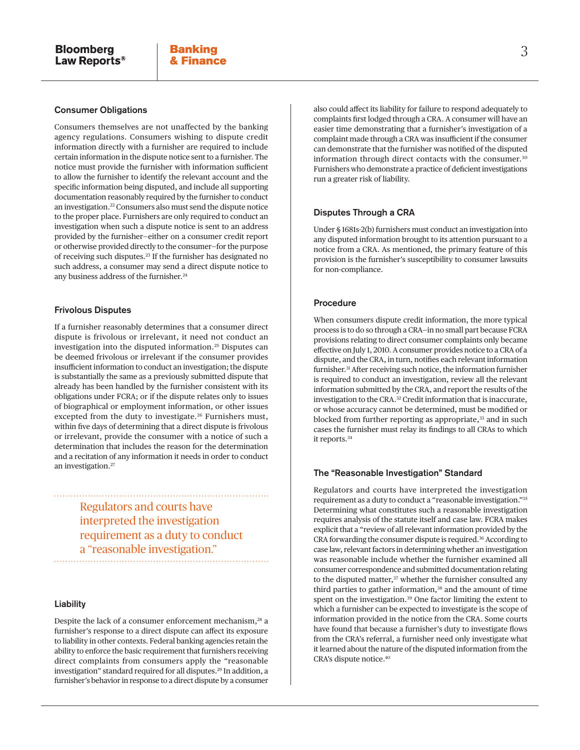#### Consumer Obligations

<span id="page-2-0"></span>Consumers themselves are not unaffected by the banking agency regulations. Consumers wishing to dispute credit information directly with a furnisher are required to include certain information in the dispute notice sent to a furnisher. The notice must provide the furnisher with information sufficient to allow the furnisher to identify the relevant account and the specific information being disputed, and include all supporting documentation reasonably required by the furnisher to conduct an investigation[.22](#page-4-9) Consumers also must send the dispute notice to the proper place. Furnishers are only required to conduct an investigation when such a dispute notice is sent to an address provided by the furnisher—either on a consumer credit report or otherwise provided directly to the consumer—for the purpose of receiving such disputes.[23](#page-4-10) If the furnisher has designated no such address, a consumer may send a direct dispute notice to any business address of the furnisher.<sup>[24](#page-4-11)</sup>

#### <span id="page-2-2"></span><span id="page-2-1"></span>Frivolous Disputes

<span id="page-2-4"></span><span id="page-2-3"></span>If a furnisher reasonably determines that a consumer direct dispute is frivolous or irrelevant, it need not conduct an investigation into the disputed information.<sup>[25](#page-4-12)</sup> Disputes can be deemed frivolous or irrelevant if the consumer provides insufficient information to conduct an investigation; the dispute is substantially the same as a previously submitted dispute that already has been handled by the furnisher consistent with its obligations under FCRA; or if the dispute relates only to issues of biographical or employment information, or other issues excepted from the duty to investigate.<sup>26</sup> Furnishers must, within five days of determining that a direct dispute is frivolous or irrelevant, provide the consumer with a notice of such a determination that includes the reason for the determination and a recitation of any information it needs in order to conduct an investigation.[27](#page-4-14)

> <span id="page-2-5"></span>Regulators and courts have interpreted the investigation requirement as a duty to conduct a "reasonable investigation."

> > <span id="page-2-18"></span><span id="page-2-17"></span>

#### Liability

<span id="page-2-7"></span><span id="page-2-6"></span>Despite the lack of a consumer enforcement mechanism,<sup>28</sup> a furnisher's response to a direct dispute can affect its exposure to liability in other contexts. Federal banking agencies retain the ability to enforce the basic requirement that furnishers receiving direct complaints from consumers apply the "reasonable investigation" standard required for all disputes[.29](#page-4-16) In addition, a furnisher's behavior in response to a direct dispute by a consumer

<span id="page-2-8"></span>also could affect its liability for failure to respond adequately to complaints first lodged through a CRA. A consumer will have an easier time demonstrating that a furnisher's investigation of a complaint made through a CRA was insufficient if the consumer can demonstrate that the furnisher was notified of the disputed information through direct contacts with the consumer.[30](#page-4-17) Furnishers who demonstrate a practice of deficient investigations run a greater risk of liability.

#### Disputes Through a CRA

Under § 1681s-2(b) furnishers must conduct an investigation into any disputed information brought to its attention pursuant to a notice from a CRA. As mentioned, the primary feature of this provision is the furnisher's susceptibility to consumer lawsuits for non-compliance.

#### Procedure

<span id="page-2-9"></span>When consumers dispute credit information, the more typical process is to do so through a CRA—in no small part because FCRA provisions relating to direct consumer complaints only became effective on July 1, 2010. A consumer provides notice to a CRA of a dispute, and the CRA, in turn, notifies each relevant information furnisher.[31](#page-4-18) After receiving such notice, the information furnisher is required to conduct an investigation, review all the relevant information submitted by the CRA, and report the results of the investigation to the CRA.[32](#page-4-19) Credit information that is inaccurate, or whose accuracy cannot be determined, must be modified or blocked from further reporting as appropriate,<sup>33</sup> and in such cases the furnisher must relay its findings to all CRAs to which it reports.[34](#page-4-21)

#### <span id="page-2-12"></span><span id="page-2-11"></span><span id="page-2-10"></span>The "Reasonable Investigation" Standard

<span id="page-2-16"></span><span id="page-2-15"></span><span id="page-2-14"></span><span id="page-2-13"></span>Regulators and courts have interpreted the investigation requirement as a duty to conduct a "reasonable investigation.["35](#page-4-22) Determining what constitutes such a reasonable investigation requires analysis of the statute itself and case law. FCRA makes explicit that a "review of all relevant information provided by the CRA forwarding the consumer dispute is required.<sup>[36](#page-4-23)</sup> According to case law, relevant factors in determining whether an investigation was reasonable include whether the furnisher examined all consumer correspondence and submitted documentation relating to the disputed matter,<sup>[37](#page-4-24)</sup> whether the furnisher consulted any third parties to gather information,<sup>[38](#page-4-25)</sup> and the amount of time spent on the investigation.<sup>[39](#page-4-26)</sup> One factor limiting the extent to which a furnisher can be expected to investigate is the scope of information provided in the notice from the CRA. Some courts have found that because a furnisher's duty to investigate flows from the CRA's referral, a furnisher need only investigate what it learned about the nature of the disputed information from the CRA's dispute notice.[40](#page-4-27)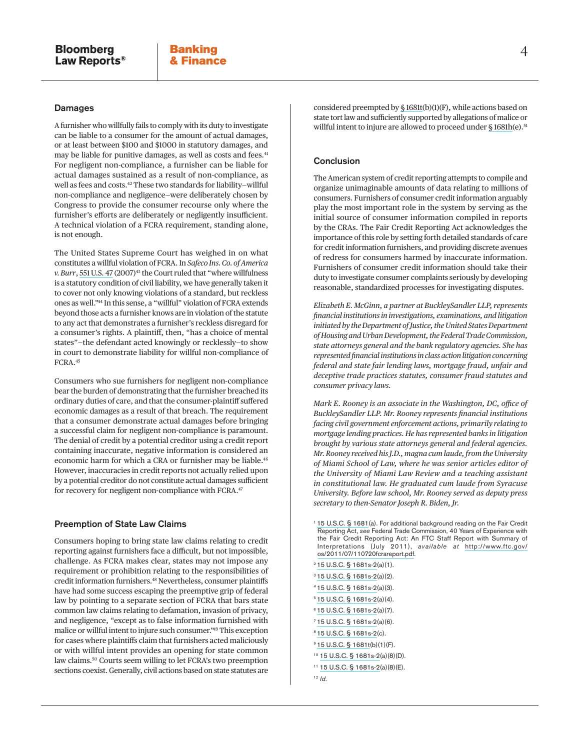#### Damages

<span id="page-3-13"></span><span id="page-3-12"></span>A furnisher who willfully fails to comply with its duty to investigate can be liable to a consumer for the amount of actual damages, or at least between \$100 and \$1000 in statutory damages, and may be liable for punitive damages, as well as costs and fees.<sup>[41](#page-4-28)</sup> For negligent non-compliance, a furnisher can be liable for actual damages sustained as a result of non-compliance, as well as fees and costs[.42](#page-4-29) These two standards for liability—willful non-compliance and negligence—were deliberately chosen by Congress to provide the consumer recourse only where the furnisher's efforts are deliberately or negligently insufficient. A technical violation of a FCRA requirement, standing alone, is not enough.

<span id="page-3-15"></span><span id="page-3-14"></span>The United States Supreme Court has weighed in on what constitutes a willful violation of FCRA. In *Safeco Ins. Co. of America v. Burr*, [551 U.S. 47](http://www.bloomberglaw.com/document/1?citation=551 us 47&summary=yes#jcite) (2007)<sup>43</sup> the Court ruled that "where willfulness is a statutory condition of civil liability, we have generally taken it to cover not only knowing violations of a standard, but reckless ones as well.["44](#page-4-31) In this sense, a "willful" violation of FCRA extends beyond those acts a furnisher knows are in violation of the statute to any act that demonstrates a furnisher's reckless disregard for a consumer's rights. A plaintiff, then, "has a choice of mental states"—the defendant acted knowingly or recklessly—to show in court to demonstrate liability for willful non-compliance of FCRA.[45](#page-4-32)

<span id="page-3-16"></span>Consumers who sue furnishers for negligent non-compliance bear the burden of demonstrating that the furnisher breached its ordinary duties of care, and that the consumer-plaintiff suffered economic damages as a result of that breach. The requirement that a consumer demonstrate actual damages before bringing a successful claim for negligent non-compliance is paramount. The denial of credit by a potential creditor using a credit report containing inaccurate, negative information is considered an economic harm for which a CRA or furnisher may be liable.<sup>46</sup> However, inaccuracies in credit reports not actually relied upon by a potential creditor do not constitute actual damages sufficient for recovery for negligent non-compliance with FCRA.<sup>[47](#page-4-34)</sup>

#### <span id="page-3-18"></span><span id="page-3-17"></span>Preemption of State Law Claims

<span id="page-3-21"></span><span id="page-3-20"></span><span id="page-3-19"></span>Consumers hoping to bring state law claims relating to credit reporting against furnishers face a difficult, but not impossible, challenge. As FCRA makes clear, states may not impose any requirement or prohibition relating to the responsibilities of credit information furnishers.[48](#page-4-35) Nevertheless, consumer plaintiffs have had some success escaping the preemptive grip of federal law by pointing to a separate section of FCRA that bars state common law claims relating to defamation, invasion of privacy, and negligence, "except as to false information furnished with malice or willful intent to injure such consumer.["49](#page-4-36) This exception for cases where plaintiffs claim that furnishers acted maliciously or with willful intent provides an opening for state common law claims[.50](#page-4-37) Courts seem willing to let FCRA's two preemption sections coexist. Generally, civil actions based on state statutes are

<span id="page-3-22"></span>considered preempted by [§ 1681t](http://www.bloomberglaw.com/document/1?citation=15 usc 1681t&summary=yes#jcite)(b)(1)(F), while actions based on state tort law and sufficiently supported by allegations of malice or willful intent to injure are allowed to proceed under [§ 1681h](http://www.bloomberglaw.com/document/1?citation=15 usc 1681h&summary=yes#jcite)(e).<sup>[51](#page-4-38)</sup>

#### **Conclusion**

The American system of credit reporting attempts to compile and organize unimaginable amounts of data relating to millions of consumers. Furnishers of consumer credit information arguably play the most important role in the system by serving as the initial source of consumer information compiled in reports by the CRAs. The Fair Credit Reporting Act acknowledges the importance of this role by setting forth detailed standards of care for credit information furnishers, and providing discrete avenues of redress for consumers harmed by inaccurate information. Furnishers of consumer credit information should take their duty to investigate consumer complaints seriously by developing reasonable, standardized processes for investigating disputes.

*Elizabeth E. McGinn, a partner at BuckleySandler LLP, represents financial institutions in investigations, examinations, and litigation initiated by the Department of Justice, the United States Department of Housing and Urban Development, the Federal Trade Commission, state attorneys general and the bank regulatory agencies. She has represented financial institutions in class action litigation concerning federal and state fair lending laws, mortgage fraud, unfair and deceptive trade practices statutes, consumer fraud statutes and consumer privacy laws.*

*Mark E. Rooney is an associate in the Washington, DC, office of BuckleySandler LLP. Mr. Rooney represents financial institutions facing civil government enforcement actions, primarily relating to mortgage lending practices. He has represented banks in litigation brought by various state attorneys general and federal agencies. Mr. Rooney received his J.D., magna cum laude, from the University of Miami School of Law, where he was senior articles editor of the University of Miami Law Review and a teaching assistant in constitutional law. He graduated cum laude from Syracuse University. Before law school, Mr. Rooney served as deputy press secretary to then-Senator Joseph R. Biden, Jr.*

- <span id="page-3-0"></span>[1](#page-0-0) [15 U.S.C. § 1681](http://www.bloomberglaw.com/document/1?citation=15 usc 1681&summary=yes#jcite)(a). For additional background reading on the Fair Credit Reporting Act, *see* Federal Trade Commission, 40 Years of Experience with the Fair Credit Reporting Act: An FTC Staff Report with Summary of Interpretations (July 2011), *available at* [http://www.ftc.gov/](http://www.ftc.gov/os/2011/07/110720fcrareport.pdf) [os/2011/07/110720fcrareport.pdf](http://www.ftc.gov/os/2011/07/110720fcrareport.pdf).
- <span id="page-3-1"></span>[2](#page-1-0) [15 U.S.C. § 1681s-2](http://www.bloomberglaw.com/document/1?citation=15 usc 1681s-2&summary=yes#jcite)(a)(1).
- <span id="page-3-2"></span>[3](#page-1-1) [15 U.S.C. § 1681s-2](http://www.bloomberglaw.com/document/1?citation=15 usc 1681s-2&summary=yes#jcite)(a)(2).
- <span id="page-3-3"></span>[4](#page-1-2) [15 U.S.C. § 1681s-2](http://www.bloomberglaw.com/document/1?citation=15 usc 1681s-2&summary=yes#jcite)(a)(3).
- <span id="page-3-4"></span>[5](#page-1-3) [15 U.S.C. § 1681s-2](http://www.bloomberglaw.com/document/1?citation=15 usc 1681s-2&summary=yes#jcite)(a)(4).
- <span id="page-3-5"></span>[6](#page-1-4) [15 U.S.C. § 1681s-2](http://www.bloomberglaw.com/document/1?citation=15 usc 1681s-2&summary=yes#jcite)(a)(7).
- <span id="page-3-6"></span>[7](#page-1-5) [15 U.S.C. § 1681s-2](http://www.bloomberglaw.com/document/1?citation=15 usc 1681s-2&summary=yes#jcite)(a)(6).
- <span id="page-3-7"></span>[8](#page-1-6) [15 U.S.C. § 1681s-2](http://www.bloomberglaw.com/document/1?citation=15 usc 1681s-2&summary=yes#jcite)(c).
- <span id="page-3-8"></span>[9](#page-1-7) [15 U.S.C. § 1681t\(](http://www.bloomberglaw.com/document/1?citation=15 usc 1681t&summary=yes#jcite)b)(1)(F).
- <span id="page-3-9"></span>[10](#page-1-8) [15 U.S.C. § 1681s-2](http://www.bloomberglaw.com/document/1?citation=15 usc 1681s-2&summary=yes#jcite)(a)(8)(D).
- <span id="page-3-10"></span>[11](#page-1-9) [15 U.S.C. § 1681s-2](http://www.bloomberglaw.com/document/1?citation=15 usc 1681s-2&summary=yes#jcite)(a)(8)(E).
- <span id="page-3-11"></span>[12](#page-1-10) *Id*.